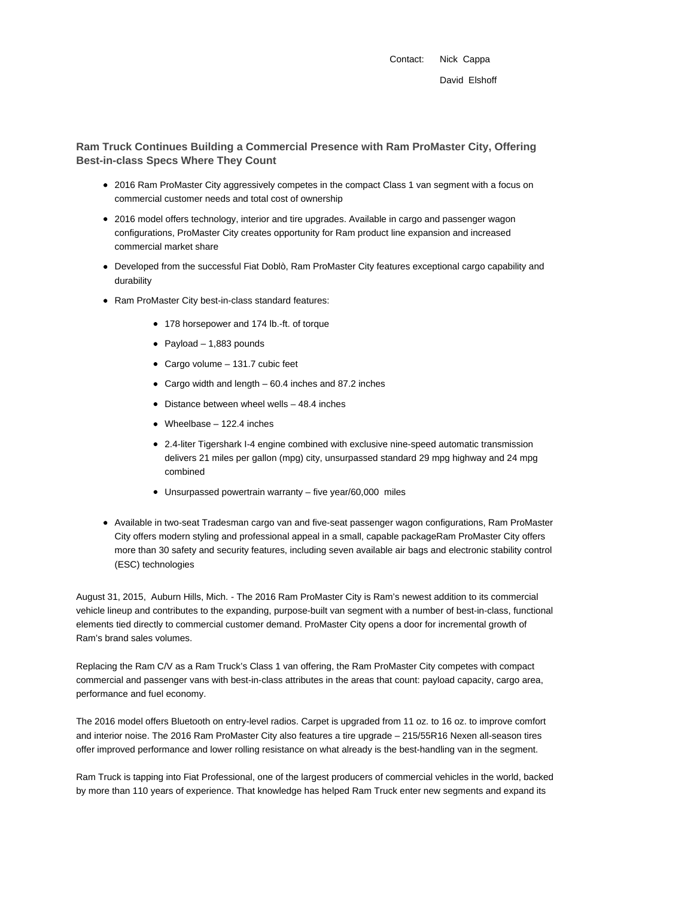Contact: Nick Cappa David Elshoff

**Ram Truck Continues Building a Commercial Presence with Ram ProMaster City, Offering Best-in-class Specs Where They Count**

- 2016 Ram ProMaster City aggressively competes in the compact Class 1 van segment with a focus on commercial customer needs and total cost of ownership
- 2016 model offers technology, interior and tire upgrades. Available in cargo and passenger wagon configurations, ProMaster City creates opportunity for Ram product line expansion and increased commercial market share
- Developed from the successful Fiat Doblò, Ram ProMaster City features exceptional cargo capability and durability
- Ram ProMaster City best-in-class standard features:
	- 178 horsepower and 174 lb.-ft. of torque
	- $\bullet$  Payload 1,883 pounds
	- Cargo volume 131.7 cubic feet
	- Cargo width and length 60.4 inches and 87.2 inches
	- Distance between wheel wells 48.4 inches
	- Wheelbase 122.4 inches
	- 2.4-liter Tigershark I-4 engine combined with exclusive nine-speed automatic transmission delivers 21 miles per gallon (mpg) city, unsurpassed standard 29 mpg highway and 24 mpg combined
	- Unsurpassed powertrain warranty five year/60,000 miles
- Available in two-seat Tradesman cargo van and five-seat passenger wagon configurations, Ram ProMaster City offers modern styling and professional appeal in a small, capable packageRam ProMaster City offers more than 30 safety and security features, including seven available air bags and electronic stability control (ESC) technologies

August 31, 2015, Auburn Hills, Mich. - The 2016 Ram ProMaster City is Ram's newest addition to its commercial vehicle lineup and contributes to the expanding, purpose-built van segment with a number of best-in-class, functional elements tied directly to commercial customer demand. ProMaster City opens a door for incremental growth of Ram's brand sales volumes.

Replacing the Ram C/V as a Ram Truck's Class 1 van offering, the Ram ProMaster City competes with compact commercial and passenger vans with best-in-class attributes in the areas that count: payload capacity, cargo area, performance and fuel economy.

The 2016 model offers Bluetooth on entry-level radios. Carpet is upgraded from 11 oz. to 16 oz. to improve comfort and interior noise. The 2016 Ram ProMaster City also features a tire upgrade – 215/55R16 Nexen all-season tires offer improved performance and lower rolling resistance on what already is the best-handling van in the segment.

Ram Truck is tapping into Fiat Professional, one of the largest producers of commercial vehicles in the world, backed by more than 110 years of experience. That knowledge has helped Ram Truck enter new segments and expand its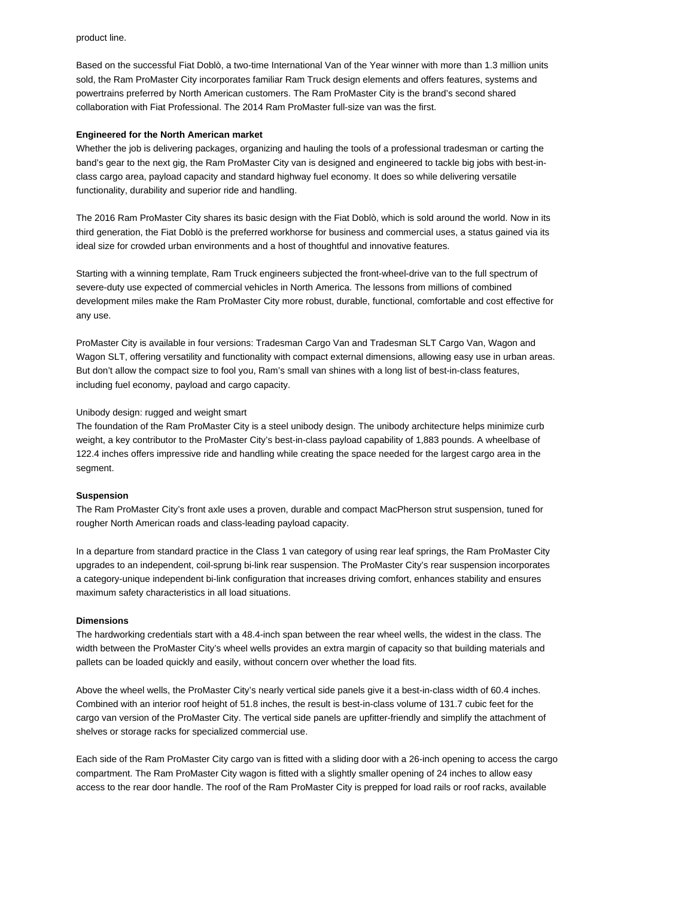product line.

Based on the successful Fiat Doblò, a two-time International Van of the Year winner with more than 1.3 million units sold, the Ram ProMaster City incorporates familiar Ram Truck design elements and offers features, systems and powertrains preferred by North American customers. The Ram ProMaster City is the brand's second shared collaboration with Fiat Professional. The 2014 Ram ProMaster full-size van was the first.

#### **Engineered for the North American market**

Whether the job is delivering packages, organizing and hauling the tools of a professional tradesman or carting the band's gear to the next gig, the Ram ProMaster City van is designed and engineered to tackle big jobs with best-inclass cargo area, payload capacity and standard highway fuel economy. It does so while delivering versatile functionality, durability and superior ride and handling.

The 2016 Ram ProMaster City shares its basic design with the Fiat Doblò, which is sold around the world. Now in its third generation, the Fiat Doblò is the preferred workhorse for business and commercial uses, a status gained via its ideal size for crowded urban environments and a host of thoughtful and innovative features.

Starting with a winning template, Ram Truck engineers subjected the front-wheel-drive van to the full spectrum of severe-duty use expected of commercial vehicles in North America. The lessons from millions of combined development miles make the Ram ProMaster City more robust, durable, functional, comfortable and cost effective for any use.

ProMaster City is available in four versions: Tradesman Cargo Van and Tradesman SLT Cargo Van, Wagon and Wagon SLT, offering versatility and functionality with compact external dimensions, allowing easy use in urban areas. But don't allow the compact size to fool you, Ram's small van shines with a long list of best-in-class features, including fuel economy, payload and cargo capacity.

## Unibody design: rugged and weight smart

The foundation of the Ram ProMaster City is a steel unibody design. The unibody architecture helps minimize curb weight, a key contributor to the ProMaster City's best-in-class payload capability of 1,883 pounds. A wheelbase of 122.4 inches offers impressive ride and handling while creating the space needed for the largest cargo area in the segment.

## **Suspension**

The Ram ProMaster City's front axle uses a proven, durable and compact MacPherson strut suspension, tuned for rougher North American roads and class-leading payload capacity.

In a departure from standard practice in the Class 1 van category of using rear leaf springs, the Ram ProMaster City upgrades to an independent, coil-sprung bi-link rear suspension. The ProMaster City's rear suspension incorporates a category-unique independent bi-link configuration that increases driving comfort, enhances stability and ensures maximum safety characteristics in all load situations.

#### **Dimensions**

The hardworking credentials start with a 48.4-inch span between the rear wheel wells, the widest in the class. The width between the ProMaster City's wheel wells provides an extra margin of capacity so that building materials and pallets can be loaded quickly and easily, without concern over whether the load fits.

Above the wheel wells, the ProMaster City's nearly vertical side panels give it a best-in-class width of 60.4 inches. Combined with an interior roof height of 51.8 inches, the result is best-in-class volume of 131.7 cubic feet for the cargo van version of the ProMaster City. The vertical side panels are upfitter-friendly and simplify the attachment of shelves or storage racks for specialized commercial use.

Each side of the Ram ProMaster City cargo van is fitted with a sliding door with a 26-inch opening to access the cargo compartment. The Ram ProMaster City wagon is fitted with a slightly smaller opening of 24 inches to allow easy access to the rear door handle. The roof of the Ram ProMaster City is prepped for load rails or roof racks, available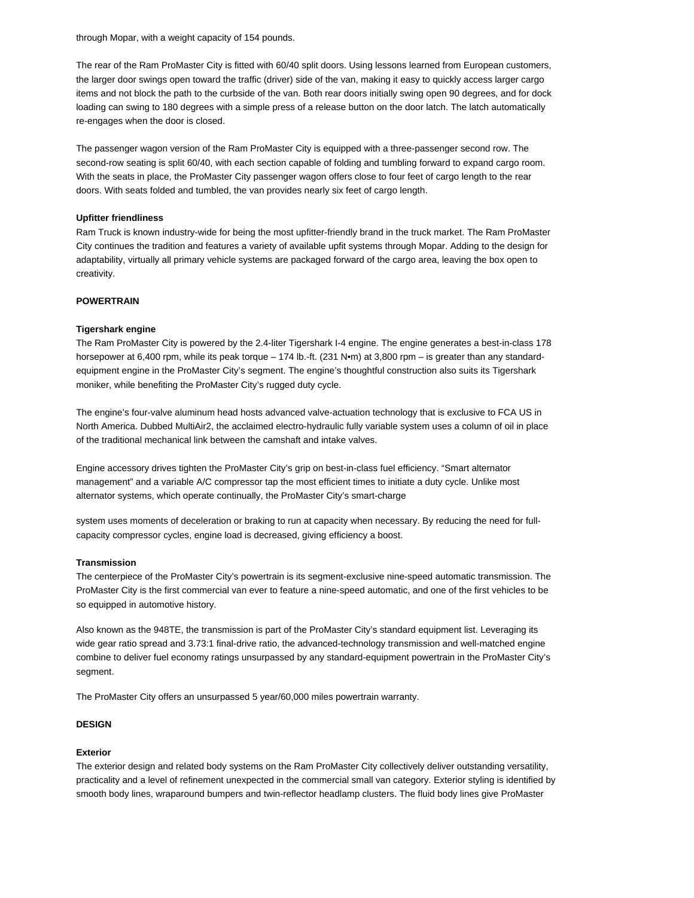through Mopar, with a weight capacity of 154 pounds.

The rear of the Ram ProMaster City is fitted with 60/40 split doors. Using lessons learned from European customers, the larger door swings open toward the traffic (driver) side of the van, making it easy to quickly access larger cargo items and not block the path to the curbside of the van. Both rear doors initially swing open 90 degrees, and for dock loading can swing to 180 degrees with a simple press of a release button on the door latch. The latch automatically re-engages when the door is closed.

The passenger wagon version of the Ram ProMaster City is equipped with a three-passenger second row. The second-row seating is split 60/40, with each section capable of folding and tumbling forward to expand cargo room. With the seats in place, the ProMaster City passenger wagon offers close to four feet of cargo length to the rear doors. With seats folded and tumbled, the van provides nearly six feet of cargo length.

## **Upfitter friendliness**

Ram Truck is known industry-wide for being the most upfitter-friendly brand in the truck market. The Ram ProMaster City continues the tradition and features a variety of available upfit systems through Mopar. Adding to the design for adaptability, virtually all primary vehicle systems are packaged forward of the cargo area, leaving the box open to creativity.

## **POWERTRAIN**

## **Tigershark engine**

The Ram ProMaster City is powered by the 2.4-liter Tigershark I-4 engine. The engine generates a best-in-class 178 horsepower at 6,400 rpm, while its peak torque – 174 lb.-ft. (231 N•m) at 3,800 rpm – is greater than any standardequipment engine in the ProMaster City's segment. The engine's thoughtful construction also suits its Tigershark moniker, while benefiting the ProMaster City's rugged duty cycle.

The engine's four-valve aluminum head hosts advanced valve-actuation technology that is exclusive to FCA US in North America. Dubbed MultiAir2, the acclaimed electro-hydraulic fully variable system uses a column of oil in place of the traditional mechanical link between the camshaft and intake valves.

Engine accessory drives tighten the ProMaster City's grip on best-in-class fuel efficiency. "Smart alternator management" and a variable A/C compressor tap the most efficient times to initiate a duty cycle. Unlike most alternator systems, which operate continually, the ProMaster City's smart-charge

system uses moments of deceleration or braking to run at capacity when necessary. By reducing the need for fullcapacity compressor cycles, engine load is decreased, giving efficiency a boost.

## **Transmission**

The centerpiece of the ProMaster City's powertrain is its segment-exclusive nine-speed automatic transmission. The ProMaster City is the first commercial van ever to feature a nine-speed automatic, and one of the first vehicles to be so equipped in automotive history.

Also known as the 948TE, the transmission is part of the ProMaster City's standard equipment list. Leveraging its wide gear ratio spread and 3.73:1 final-drive ratio, the advanced-technology transmission and well-matched engine combine to deliver fuel economy ratings unsurpassed by any standard-equipment powertrain in the ProMaster City's segment.

The ProMaster City offers an unsurpassed 5 year/60,000 miles powertrain warranty.

# **DESIGN**

## **Exterior**

The exterior design and related body systems on the Ram ProMaster City collectively deliver outstanding versatility, practicality and a level of refinement unexpected in the commercial small van category. Exterior styling is identified by smooth body lines, wraparound bumpers and twin-reflector headlamp clusters. The fluid body lines give ProMaster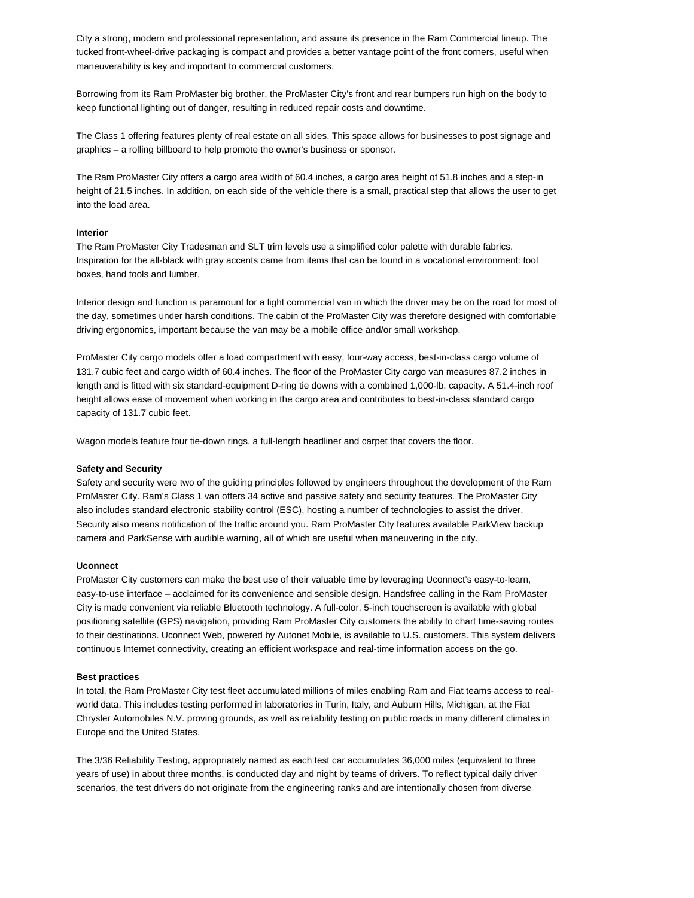City a strong, modern and professional representation, and assure its presence in the Ram Commercial lineup. The tucked front-wheel-drive packaging is compact and provides a better vantage point of the front corners, useful when maneuverability is key and important to commercial customers.

Borrowing from its Ram ProMaster big brother, the ProMaster City's front and rear bumpers run high on the body to keep functional lighting out of danger, resulting in reduced repair costs and downtime.

The Class 1 offering features plenty of real estate on all sides. This space allows for businesses to post signage and graphics – a rolling billboard to help promote the owner's business or sponsor.

The Ram ProMaster City offers a cargo area width of 60.4 inches, a cargo area height of 51.8 inches and a step-in height of 21.5 inches. In addition, on each side of the vehicle there is a small, practical step that allows the user to get into the load area.

#### **Interior**

The Ram ProMaster City Tradesman and SLT trim levels use a simplified color palette with durable fabrics. Inspiration for the all-black with gray accents came from items that can be found in a vocational environment: tool boxes, hand tools and lumber.

Interior design and function is paramount for a light commercial van in which the driver may be on the road for most of the day, sometimes under harsh conditions. The cabin of the ProMaster City was therefore designed with comfortable driving ergonomics, important because the van may be a mobile office and/or small workshop.

ProMaster City cargo models offer a load compartment with easy, four-way access, best-in-class cargo volume of 131.7 cubic feet and cargo width of 60.4 inches. The floor of the ProMaster City cargo van measures 87.2 inches in length and is fitted with six standard-equipment D-ring tie downs with a combined 1,000-lb. capacity. A 51.4-inch roof height allows ease of movement when working in the cargo area and contributes to best-in-class standard cargo capacity of 131.7 cubic feet.

Wagon models feature four tie-down rings, a full-length headliner and carpet that covers the floor.

#### **Safety and Security**

Safety and security were two of the guiding principles followed by engineers throughout the development of the Ram ProMaster City. Ram's Class 1 van offers 34 active and passive safety and security features. The ProMaster City also includes standard electronic stability control (ESC), hosting a number of technologies to assist the driver. Security also means notification of the traffic around you. Ram ProMaster City features available ParkView backup camera and ParkSense with audible warning, all of which are useful when maneuvering in the city.

#### **Uconnect**

ProMaster City customers can make the best use of their valuable time by leveraging Uconnect's easy-to-learn, easy-to-use interface – acclaimed for its convenience and sensible design. Handsfree calling in the Ram ProMaster City is made convenient via reliable Bluetooth technology. A full-color, 5-inch touchscreen is available with global positioning satellite (GPS) navigation, providing Ram ProMaster City customers the ability to chart time-saving routes to their destinations. Uconnect Web, powered by Autonet Mobile, is available to U.S. customers. This system delivers continuous Internet connectivity, creating an efficient workspace and real-time information access on the go.

#### **Best practices**

In total, the Ram ProMaster City test fleet accumulated millions of miles enabling Ram and Fiat teams access to realworld data. This includes testing performed in laboratories in Turin, Italy, and Auburn Hills, Michigan, at the Fiat Chrysler Automobiles N.V. proving grounds, as well as reliability testing on public roads in many different climates in Europe and the United States.

The 3/36 Reliability Testing, appropriately named as each test car accumulates 36,000 miles (equivalent to three years of use) in about three months, is conducted day and night by teams of drivers. To reflect typical daily driver scenarios, the test drivers do not originate from the engineering ranks and are intentionally chosen from diverse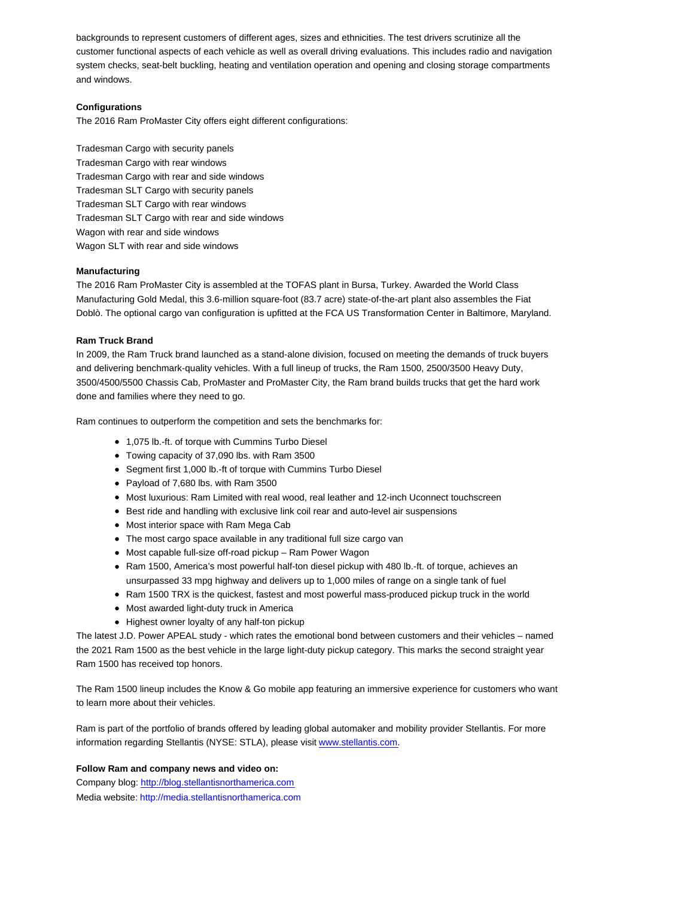backgrounds to represent customers of different ages, sizes and ethnicities. The test drivers scrutinize all the customer functional aspects of each vehicle as well as overall driving evaluations. This includes radio and navigation system checks, seat-belt buckling, heating and ventilation operation and opening and closing storage compartments and windows.

# **Configurations**

The 2016 Ram ProMaster City offers eight different configurations:

Tradesman Cargo with security panels Tradesman Cargo with rear windows Tradesman Cargo with rear and side windows Tradesman SLT Cargo with security panels Tradesman SLT Cargo with rear windows Tradesman SLT Cargo with rear and side windows Wagon with rear and side windows Wagon SLT with rear and side windows

## **Manufacturing**

The 2016 Ram ProMaster City is assembled at the TOFAS plant in Bursa, Turkey. Awarded the World Class Manufacturing Gold Medal, this 3.6-million square-foot (83.7 acre) state-of-the-art plant also assembles the Fiat Doblò. The optional cargo van configuration is upfitted at the FCA US Transformation Center in Baltimore, Maryland.

## **Ram Truck Brand**

In 2009, the Ram Truck brand launched as a stand-alone division, focused on meeting the demands of truck buyers and delivering benchmark-quality vehicles. With a full lineup of trucks, the Ram 1500, 2500/3500 Heavy Duty, 3500/4500/5500 Chassis Cab, ProMaster and ProMaster City, the Ram brand builds trucks that get the hard work done and families where they need to go.

Ram continues to outperform the competition and sets the benchmarks for:

- 1,075 lb.-ft. of torque with Cummins Turbo Diesel
- Towing capacity of 37,090 lbs. with Ram 3500
- Segment first 1,000 lb.-ft of torque with Cummins Turbo Diesel
- Payload of 7,680 lbs. with Ram 3500
- Most luxurious: Ram Limited with real wood, real leather and 12-inch Uconnect touchscreen
- Best ride and handling with exclusive link coil rear and auto-level air suspensions
- Most interior space with Ram Mega Cab
- The most cargo space available in any traditional full size cargo van
- Most capable full-size off-road pickup Ram Power Wagon
- Ram 1500, America's most powerful half-ton diesel pickup with 480 lb.-ft. of torque, achieves an unsurpassed 33 mpg highway and delivers up to 1,000 miles of range on a single tank of fuel
- Ram 1500 TRX is the quickest, fastest and most powerful mass-produced pickup truck in the world
- Most awarded light-duty truck in America
- Highest owner loyalty of any half-ton pickup

The latest J.D. Power APEAL study - which rates the emotional bond between customers and their vehicles – named the 2021 Ram 1500 as the best vehicle in the large light-duty pickup category. This marks the second straight year Ram 1500 has received top honors.

The Ram 1500 lineup includes the Know & Go mobile app featuring an immersive experience for customers who want to learn more about their vehicles.

Ram is part of the portfolio of brands offered by leading global automaker and mobility provider Stellantis. For more information regarding Stellantis (NYSE: STLA), please visit www.stellantis.com.

## **Follow Ram and company news and video on:**

Company blog: http://blog.stellantisnorthamerica.com Media website: http://media.stellantisnorthamerica.com